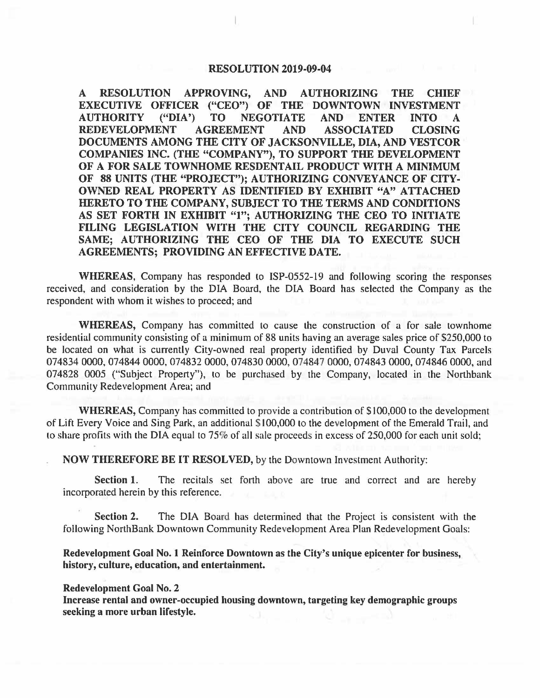## **RESOLUTION 2019-09-04**

**A RESOLUTION APPROVING, AND AUTHORIZING THE CHIEF EXECUTIVE OFFICER ("CEO") OF THE DOWNTOWN INVESTMENT AUTHORITY ("DIA') TO NEGOTIATE AND ENTER INTO A REDEVELOPMENT AGREEMENT AND ASSOCIATED CLOSING DOCUMENTS AMONG THE CITY OF JACKSONVILLE, DIA, AND VESTCOR COMPANIES INC. (THE "COMPANY"), TO SUPPORT THE DEVELOPMENT OF A FOR SALE TOWNHOME RESDENTAIL PRODUCT WITH A MINIMUM OF 88 UNITS (THE "PROJECT"); AUTHORIZING CONVEYANCE OF CITY-OWNED REAL PROPERTY AS IDENTIFIED BY EXHIBIT "A" ATTACHED HERETO TO THE COMPANY, SUBJECT TO THE TERMS AND CONDITIONS AS SET FORTH IN EXHIBIT "1"; AUTHORIZING THE CEO TO INITIATE FILING LEGISLATION WITH THE CITY COUNCIL REGARDING THE SAME; AUTHORIZING THE CEO OF THE DIA TO EXECUTE SUCH AGREEMENTS; PROVIDING AN EFFECTIVE DATE.** 

**WHEREAS,** Company has responded to ISP-0552-19 and following scoring the responses received, and consideration by the DIA Board, the DIA Board has selected the Company as the respondent with whom it wishes to proceed; and

**WHEREAS,** Company has committed to cause the construction of a for sale townhome residential community consisting of a minimum of 88 units having an average sales price of \$250,000 to be located on what is currently City-owned real property identified by Duval County Tax Parcels 074834 0000, 074844 0000, 074832 0000, 074830 0000, 074847 0000, 074843 0000, 074846 0000, and 074828 0005 ("Subject Property"), to be purchased by the Company, located in the Northbank Community Redevelopment Area; and

**WHEREAS,** Company has committed to provide a contribution of \$100,000 to the development of Lift Every Voice and Sing Park, an additional \$100,000 to the development of the Emerald Trail, and to share profits with the DIA equal to 75% of all sale proceeds in excess of 250,000 for each unit sold;

**NOW THEREFORE BE IT RESOLVED,** by the Downtown Investment Authority:

**Section 1.** The recitals set forth above are true and correct and are hereby incorporated herein by this reference.

**Section 2.** The DIA Board has determined that the Project is consistent with the following NorthBank Downtown Community Redevelopment Area Plan Redevelopment Goals:

**Redevelopment Goal No. 1 Reinforce Downtown as the City's unique epicenter for business, history, culture, education, and entertainment.** 

#### **Redevelopment Goal No. 2**

**Increase rental and owner-occupied housing downtown, targeting key demographic groups seeking a more urban lifestyle.**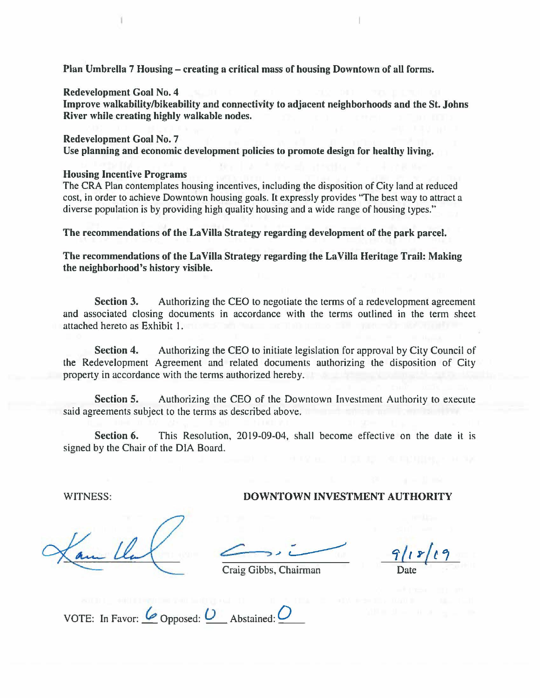Plan Umbrella 7 Housing – creating a critical mass of housing Downtown of all forms.

**Redevelopment Goal No. 4 Improve walkability/bikeability and connectivity to adjacent neighborhoods and the St. Johns River while creating highly walkable nodes.** 

**Redevelopment Goal No. 7 Use planning and economic development policies to promote design for healthy living.** 

### **Housing Incentive Programs**

The CRA Plan contemplates housing incentives, including the disposition of City land at reduced cost, in order to achieve Downtown housing goals. It expressly provides "The best way to attract a diverse population is by providing high quality housing and a wide range of housing types."

**The recommendations of the La Villa Strategy regarding development of the park parcel.** 

**The recommendations of the La Villa Strategy regarding the La Villa Heritage Trail: Making the neighborhood's history visible.** 

**Section 3.** Authorizing the CEO to negotiate the terms of a redevelopment agreement and associated closing documents in accordance with the terms outlined in the term sheet attached hereto as Exhibit I.

**Section 4.** Authorizing the CEO to initiate legislation for approval by City Council of the Redevelopment Agreement and related documents authorizing the disposition of City property in accordance with the terms authorized hereby.

**Section 5.** Authorizing the CEO of the Downtown Investment Authority to execute said agreements subject to the terms as described above.

**Section 6.** This Resolution, 2019-09-04, shall become effective on the date it is signed by the Chair of the DIA Board.

WITNESS: **DOWNTOWN INVESTMENT AUTHORITY** 

*t:t l,~(t,* 

Craig Gibbs, Chairman

VOTE: In Favor:  $\omega$  Opposed:  $\omega$  Abstained:  $\omega$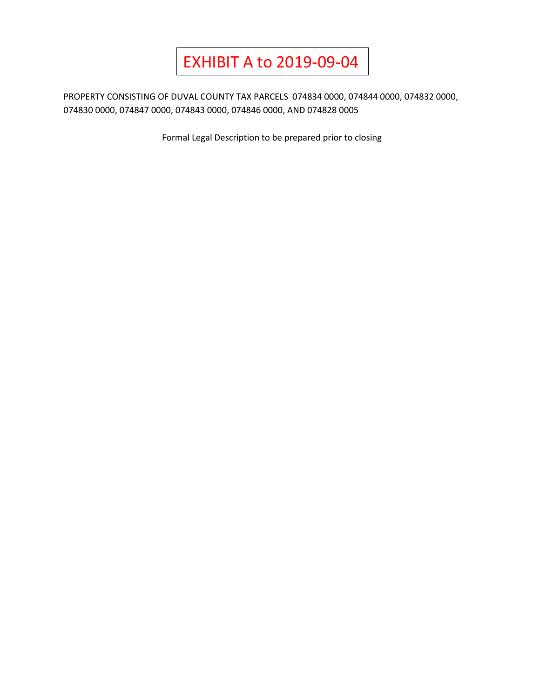# EXHIBIT A to 2019-09-04

PROPERTY CONSISTING OF DUVAL COUNTY TAX PARCELS 074834 0000, 074844 0000, 074832 0000, 074830 0000, 074847 0000, 074843 0000, 074846 0000, AND 074828 0005

Formal Legal Description to be prepared prior to closing